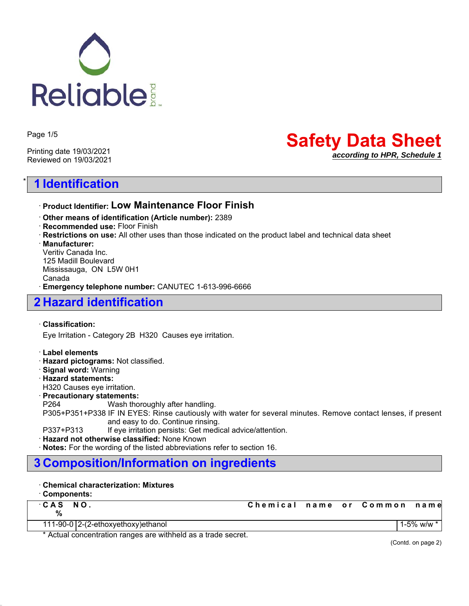

Page 1/5

Printing date 19/03/2021 Reviewed on 19/03/2021

# \* **1 Identification**

## **Safety Data Sheet** *according to HPR, Schedule 1*

### ꞏ **Product Identifier: Low Maintenance Floor Finish**

- ꞏ **Other means of identification (Article number):** 2389
- ꞏ **Recommended use:** Floor Finish
- ꞏ **Restrictions on use:** All other uses than those indicated on the product label and technical data sheet

ꞏ **Manufacturer:**

Veritiv Canada Inc. 125 Madill Boulevard Mississauga, ON L5W 0H1 Canada ꞏ **Emergency telephone number:** CANUTEC 1-613-996-6666

## **2 Hazard identification**

### ꞏ **Classification:**

Eye Irritation - Category 2B H320 Causes eye irritation.

### ꞏ **Label elements**

- ꞏ **Hazard pictograms:** Not classified.
- ꞏ **Signal word:** Warning
- ꞏ **Hazard statements:**
- H320 Causes eye irritation.

### ꞏ **Precautionary statements:**

P264 Wash thoroughly after handling.

P305+P351+P338 IF IN EYES: Rinse cautiously with water for several minutes. Remove contact lenses, if present and easy to do. Continue rinsing.

P337+P313 If eye irritation persists: Get medical advice/attention.

ꞏ **Hazard not otherwise classified:** None Known

ꞏ **Notes:** For the wording of the listed abbreviations refer to section 16.

## **3 Composition/Information on ingredients**

### ꞏ **Chemical characterization: Mixtures**

### ꞏ **Components:**

| CAS NO.<br>% |                                    | Chemical name or Common name |  |              |
|--------------|------------------------------------|------------------------------|--|--------------|
|              | 111-90-0 2-(2-ethoxyethoxy)ethanol |                              |  | 1-5% w/w * i |

\* Actual concentration ranges are withheld as a trade secret.

(Contd. on page 2)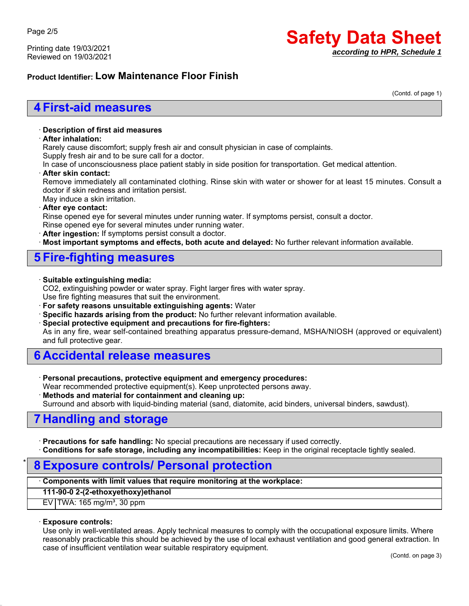Printing date 19/03/2021 Reviewed on 19/03/2021

# **Safety Data Sheet** *according to HPR, Schedule 1*

### **Product Identifier: Low Maintenance Floor Finish**

(Contd. of page 1)

## **4 First-aid measures**

#### ꞏ **Description of first aid measures**

### ꞏ **After inhalation:**

Rarely cause discomfort; supply fresh air and consult physician in case of complaints.

Supply fresh air and to be sure call for a doctor.

In case of unconsciousness place patient stably in side position for transportation. Get medical attention.

#### ꞏ **After skin contact:**

Remove immediately all contaminated clothing. Rinse skin with water or shower for at least 15 minutes. Consult a doctor if skin redness and irritation persist.

## May induce a skin irritation.

#### ꞏ **After eye contact:**

Rinse opened eye for several minutes under running water. If symptoms persist, consult a doctor.

- Rinse opened eye for several minutes under running water.
- ꞏ **After ingestion:** If symptoms persist consult a doctor.

**Most important symptoms and effects, both acute and delayed:** No further relevant information available.

## **5 Fire-fighting measures**

#### ꞏ **Suitable extinguishing media:**

CO2, extinguishing powder or water spray. Fight larger fires with water spray. Use fire fighting measures that suit the environment.

ꞏ **For safety reasons unsuitable extinguishing agents:** Water

- ꞏ **Specific hazards arising from the product:** No further relevant information available.
- ꞏ **Special protective equipment and precautions for fire-fighters:**

As in any fire, wear self-contained breathing apparatus pressure-demand, MSHA/NIOSH (approved or equivalent) and full protective gear.

## **6 Accidental release measures**

ꞏ **Personal precautions, protective equipment and emergency procedures:**

Wear recommended protective equipment(s). Keep unprotected persons away.

ꞏ **Methods and material for containment and cleaning up:**

Surround and absorb with liquid-binding material (sand, diatomite, acid binders, universal binders, sawdust).

## **7 Handling and storage**

ꞏ **Precautions for safe handling:** No special precautions are necessary if used correctly.

ꞏ **Conditions for safe storage, including any incompatibilities:** Keep in the original receptacle tightly sealed.

## \* **8 Exposure controls/ Personal protection**

### ꞏ **Components with limit values that require monitoring at the workplace:**

**111-90-0 2-(2-ethoxyethoxy)ethanol**

 $EV$  TWA: 165 mg/m<sup>3</sup>, 30 ppm

### ꞏ **Exposure controls:**

Use only in well-ventilated areas. Apply technical measures to comply with the occupational exposure limits. Where reasonably practicable this should be achieved by the use of local exhaust ventilation and good general extraction. In case of insufficient ventilation wear suitable respiratory equipment.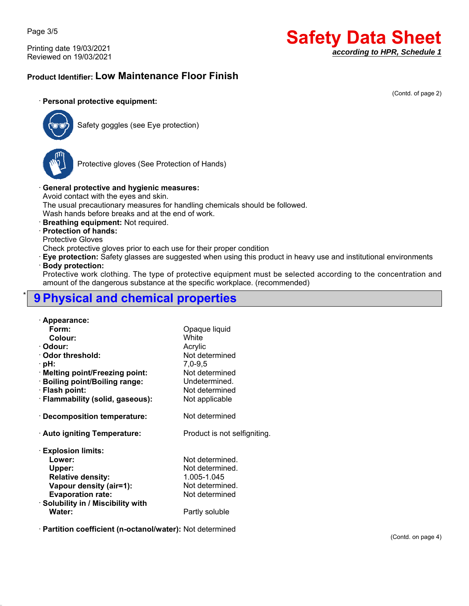Page 3/5

Printing date 19/03/2021 Reviewed on 19/03/2021

# **Safety Data Sheet** *according to HPR, Schedule 1*

(Contd. of page 2)

## **Product Identifier: Low Maintenance Floor Finish**

### ꞏ **Personal protective equipment:**



Safety goggles (see Eye protection)



Protective gloves (See Protection of Hands)

### ꞏ **General protective and hygienic measures:**

Avoid contact with the eyes and skin.

The usual precautionary measures for handling chemicals should be followed.

Wash hands before breaks and at the end of work.

ꞏ **Breathing equipment:** Not required.

### ꞏ **Protection of hands:**

Protective Gloves

Check protective gloves prior to each use for their proper condition

ꞏ **Eye protection:** Safety glasses are suggested when using this product in heavy use and institutional environments

### ꞏ **Body protection:**

Protective work clothing. The type of protective equipment must be selected according to the concentration and amount of the dangerous substance at the specific workplace. (recommended)

## \* **9 Physical and chemical properties**

| · Appearance:                      |                              |
|------------------------------------|------------------------------|
| Form:                              | Opaque liquid                |
| Colour:                            | White                        |
| · Odour:                           | Acrylic                      |
| Odor threshold:                    | Not determined               |
| · pH:                              | $7,0-9,5$                    |
| · Melting point/Freezing point:    | Not determined               |
| · Boiling point/Boiling range:     | Undetermined.                |
| · Flash point:                     | Not determined               |
| · Flammability (solid, gaseous):   | Not applicable               |
|                                    |                              |
| · Decomposition temperature:       | Not determined               |
|                                    |                              |
| · Auto igniting Temperature:       | Product is not selfigniting. |
|                                    |                              |
| <b>Explosion limits:</b>           |                              |
| Lower:                             | Not determined.              |
| Upper:                             | Not determined.              |
| <b>Relative density:</b>           | 1.005-1.045                  |
| Vapour density (air=1):            | Not determined.              |
| <b>Evaporation rate:</b>           | Not determined               |
| · Solubility in / Miscibility with |                              |
| Water:                             | Partly soluble               |
|                                    |                              |

ꞏ **Partition coefficient (n-octanol/water):** Not determined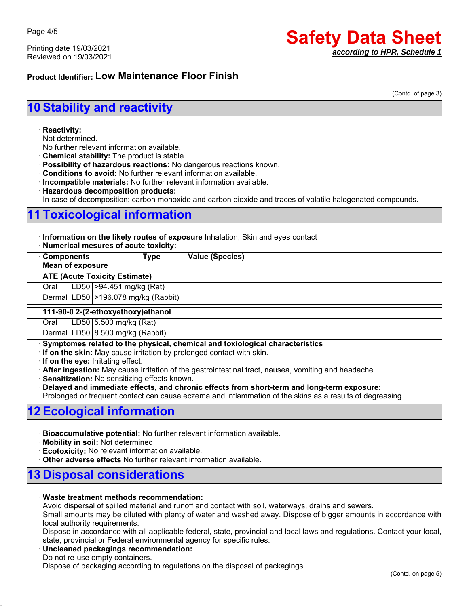Printing date 19/03/2021 Reviewed on 19/03/2021

# **Safety Data Sheet** *according to HPR, Schedule 1*

### **Product Identifier: Low Maintenance Floor Finish**

(Contd. of page 3)

# **10 Stability and reactivity**

#### ꞏ **Reactivity:**

Not determined.

- No further relevant information available.
- ꞏ **Chemical stability:** The product is stable.
- ꞏ **Possibility of hazardous reactions:** No dangerous reactions known.
- ꞏ **Conditions to avoid:** No further relevant information available.
- ꞏ **Incompatible materials:** No further relevant information available.
- ꞏ **Hazardous decomposition products:**

In case of decomposition: carbon monoxide and carbon dioxide and traces of volatile halogenated compounds.

# **11 Toxicological information**

ꞏ **Information on the likely routes of exposure** Inhalation, Skin and eyes contact

|  | · Numerical mesures of acute toxicity: |  |  |  |  |  |
|--|----------------------------------------|--|--|--|--|--|
|--|----------------------------------------|--|--|--|--|--|

| <b>Components</b><br>Type<br><b>Mean of exposure</b> |  |                                        | <b>Value (Species)</b> |  |
|------------------------------------------------------|--|----------------------------------------|------------------------|--|
|                                                      |  | <b>ATE (Acute Toxicity Estimate)</b>   |                        |  |
| Oral                                                 |  | LD50   > 94.451 mg/kg (Rat)            |                        |  |
|                                                      |  | Dermal LD50   > 196.078 mg/kg (Rabbit) |                        |  |
| 111-90-0 2-(2-ethoxyethoxy) ethanol                  |  |                                        |                        |  |
| Oral                                                 |  | LD50 5.500 mg/kg (Rat)                 |                        |  |
|                                                      |  | Dermal LD50 8.500 mg/kg (Rabbit)       |                        |  |

ꞏ **Symptomes related to the physical, chemical and toxiological characteristics**

ꞏ **If on the skin:** May cause irritation by prolonged contact with skin.

ꞏ **If on the eye:** Irritating effect.

ꞏ **After ingestion:** May cause irritation of the gastrointestinal tract, nausea, vomiting and headache.

ꞏ **Sensitization:** No sensitizing effects known.

ꞏ **Delayed and immediate effects, and chronic effects from short-term and long-term exposure:**

Prolonged or frequent contact can cause eczema and inflammation of the skins as a results of degreasing.

## **12 Ecological information**

- ꞏ **Bioaccumulative potential:** No further relevant information available.
- ꞏ **Mobility in soil:** Not determined
- **Ecotoxicity:** No relevant information available.
- ꞏ **Other adverse effects** No further relevant information available.

## **13 Disposal considerations**

#### ꞏ **Waste treatment methods recommendation:**

Avoid dispersal of spilled material and runoff and contact with soil, waterways, drains and sewers.

Small amounts may be diluted with plenty of water and washed away. Dispose of bigger amounts in accordance with local authority requirements.

Dispose in accordance with all applicable federal, state, provincial and local laws and regulations. Contact your local, state, provincial or Federal environmental agency for specific rules.

#### ꞏ **Uncleaned packagings recommendation:**

Do not re-use empty containers.

Dispose of packaging according to regulations on the disposal of packagings.